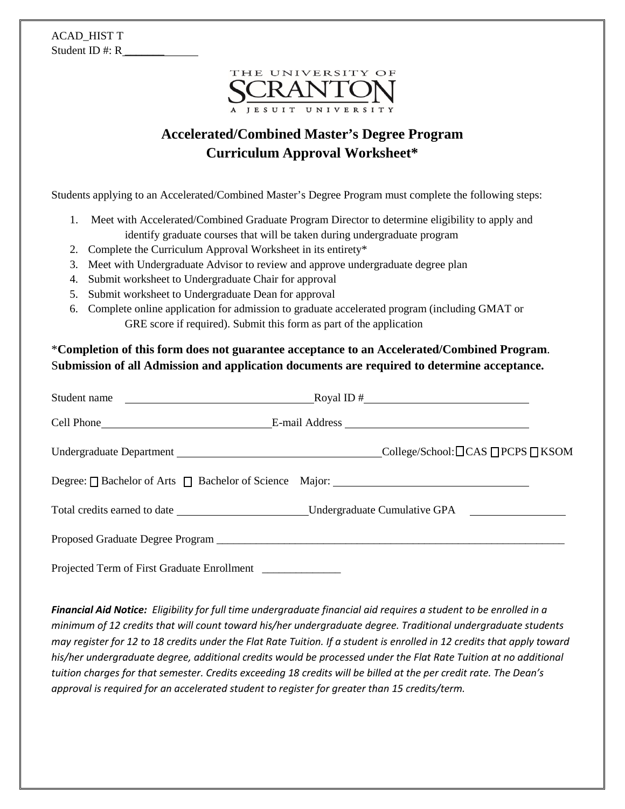ACAD\_HIST T Student ID #: R



## **Accelerated/Combined Master's Degree Program Curriculum Approval Worksheet\***

Students applying to an Accelerated/Combined Master's Degree Program must complete the following steps:

- 1. Meet with Accelerated/Combined Graduate Program Director to determine eligibility to apply and identify graduate courses that will be taken during undergraduate program
- 2. Complete the Curriculum Approval Worksheet in its entirety\*
- 3. Meet with Undergraduate Advisor to review and approve undergraduate degree plan
- 4. Submit worksheet to Undergraduate Chair for approval
- 5. Submit worksheet to Undergraduate Dean for approval
- 6. Complete online application for admission to graduate accelerated program (including GMAT or GRE score if required). Submit this form as part of the application

## \***Completion of this form does not guarantee acceptance to an Accelerated/Combined Program**. S**ubmission of all Admission and application documents are required to determine acceptance.**

| $\mathbb{R}$ is a contract of the contract of $\mathbb{R}$ |  |
|------------------------------------------------------------|--|

Projected Term of First Graduate Enrollment \_\_\_\_\_\_\_\_\_\_\_\_\_\_

*Financial Aid Notice: Eligibility for full time undergraduate financial aid requires a student to be enrolled in a minimum of 12 credits that will count toward his/her undergraduate degree. Traditional undergraduate students may register for 12 to 18 credits under the Flat Rate Tuition. If a student is enrolled in 12 credits that apply toward his/her undergraduate degree, additional credits would be processed under the Flat Rate Tuition at no additional tuition charges for that semester. Credits exceeding 18 credits will be billed at the per credit rate. The Dean's approval is required for an accelerated student to register for greater than 15 credits/term.*